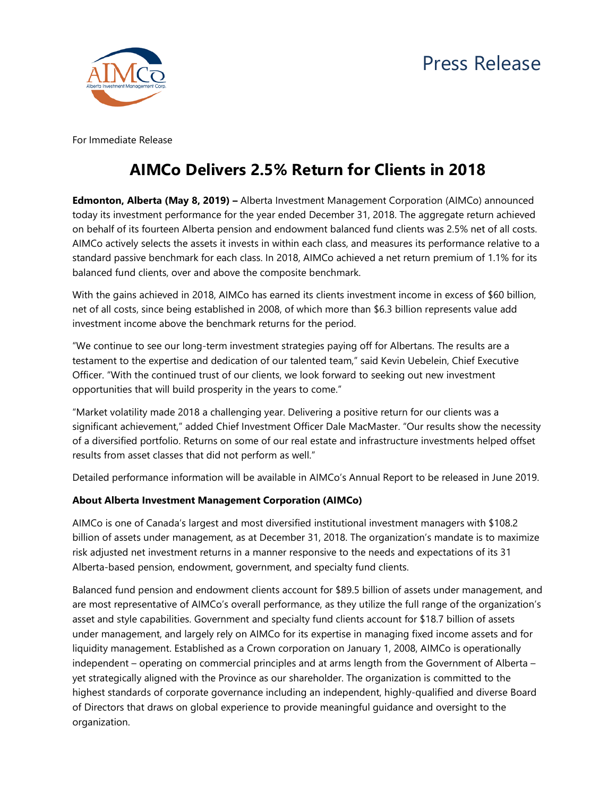

For Immediate Release

## **AIMCo Delivers 2.5% Return for Clients in 2018**

**Edmonton, Alberta (May 8, 2019) –** Alberta Investment Management Corporation (AIMCo) announced today its investment performance for the year ended December 31, 2018. The aggregate return achieved on behalf of its fourteen Alberta pension and endowment balanced fund clients was 2.5% net of all costs. AIMCo actively selects the assets it invests in within each class, and measures its performance relative to a standard passive benchmark for each class. In 2018, AIMCo achieved a net return premium of 1.1% for its balanced fund clients, over and above the composite benchmark.

With the gains achieved in 2018, AIMCo has earned its clients investment income in excess of \$60 billion, net of all costs, since being established in 2008, of which more than \$6.3 billion represents value add investment income above the benchmark returns for the period.

"We continue to see our long-term investment strategies paying off for Albertans. The results are a testament to the expertise and dedication of our talented team," said Kevin Uebelein, Chief Executive Officer. "With the continued trust of our clients, we look forward to seeking out new investment opportunities that will build prosperity in the years to come."

"Market volatility made 2018 a challenging year. Delivering a positive return for our clients was a significant achievement," added Chief Investment Officer Dale MacMaster. "Our results show the necessity of a diversified portfolio. Returns on some of our real estate and infrastructure investments helped offset results from asset classes that did not perform as well."

Detailed performance information will be available in AIMCo's Annual Report to be released in June 2019.

## **About Alberta Investment Management Corporation (AIMCo)**

AIMCo is one of Canada's largest and most diversified institutional investment managers with \$108.2 billion of assets under management, as at December 31, 2018. The organization's mandate is to maximize risk adjusted net investment returns in a manner responsive to the needs and expectations of its 31 Alberta-based pension, endowment, government, and specialty fund clients.

Balanced fund pension and endowment clients account for \$89.5 billion of assets under management, and are most representative of AIMCo's overall performance, as they utilize the full range of the organization's asset and style capabilities. Government and specialty fund clients account for \$18.7 billion of assets under management, and largely rely on AIMCo for its expertise in managing fixed income assets and for liquidity management. Established as a Crown corporation on January 1, 2008, AIMCo is operationally independent – operating on commercial principles and at arms length from the Government of Alberta – yet strategically aligned with the Province as our shareholder. The organization is committed to the highest standards of corporate governance including an independent, highly-qualified and diverse Board of Directors that draws on global experience to provide meaningful guidance and oversight to the organization.